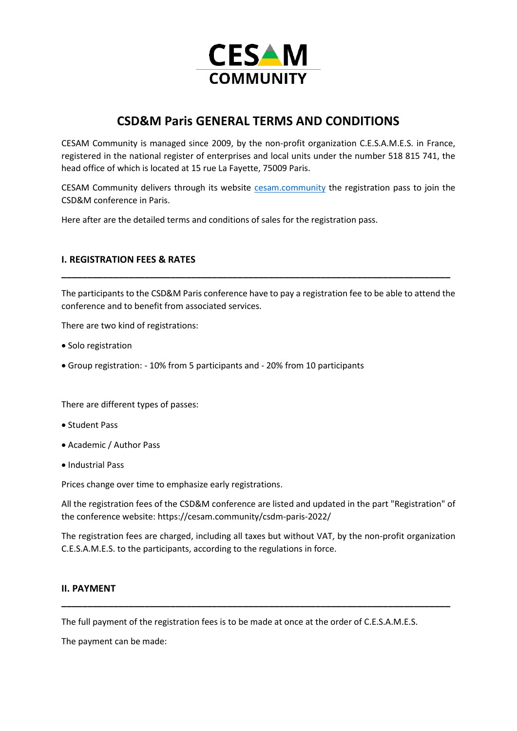

# **CSD&M Paris GENERAL TERMS AND CONDITIONS**

CESAM Community is managed since 2009, by the non-profit organization C.E.S.A.M.E.S. in France, registered in the national register of enterprises and local units under the number 518 815 741, the head office of which is located at 15 rue La Fayette, 75009 Paris.

CESAM Community delivers through its website [cesam.community](https://cesam.community/) the registration pass to join the CSD&M conference in Paris.

Here after are the detailed terms and conditions of sales for the registration pass.

## **I. REGISTRATION FEES & RATES**

The participants to the CSD&M Paris conference have to pay a registration fee to be able to attend the conference and to benefit from associated services.

**\_\_\_\_\_\_\_\_\_\_\_\_\_\_\_\_\_\_\_\_\_\_\_\_\_\_\_\_\_\_\_\_\_\_\_\_\_\_\_\_\_\_\_\_\_\_\_\_\_\_\_\_\_\_\_\_\_\_\_\_\_\_\_\_\_\_\_\_\_\_\_\_\_\_\_**

There are two kind of registrations:

- Solo registration
- Group registration: 10% from 5 participants and 20% from 10 participants

There are different types of passes:

- Student Pass
- Academic / Author Pass
- Industrial Pass

Prices change over time to emphasize early registrations.

All the registration fees of the CSD&M conference are listed and updated in the part "Registration" of the conference website: https://cesam.community/csdm-paris-2022/

The registration fees are charged, including all taxes but without VAT, by the non-profit organization C.E.S.A.M.E.S. to the participants, according to the regulations in force.

**\_\_\_\_\_\_\_\_\_\_\_\_\_\_\_\_\_\_\_\_\_\_\_\_\_\_\_\_\_\_\_\_\_\_\_\_\_\_\_\_\_\_\_\_\_\_\_\_\_\_\_\_\_\_\_\_\_\_\_\_\_\_\_\_\_\_\_\_\_\_\_\_\_\_\_**

### **II. PAYMENT**

The full payment of the registration fees is to be made at once at the order of C.E.S.A.M.E.S.

The payment can be made: